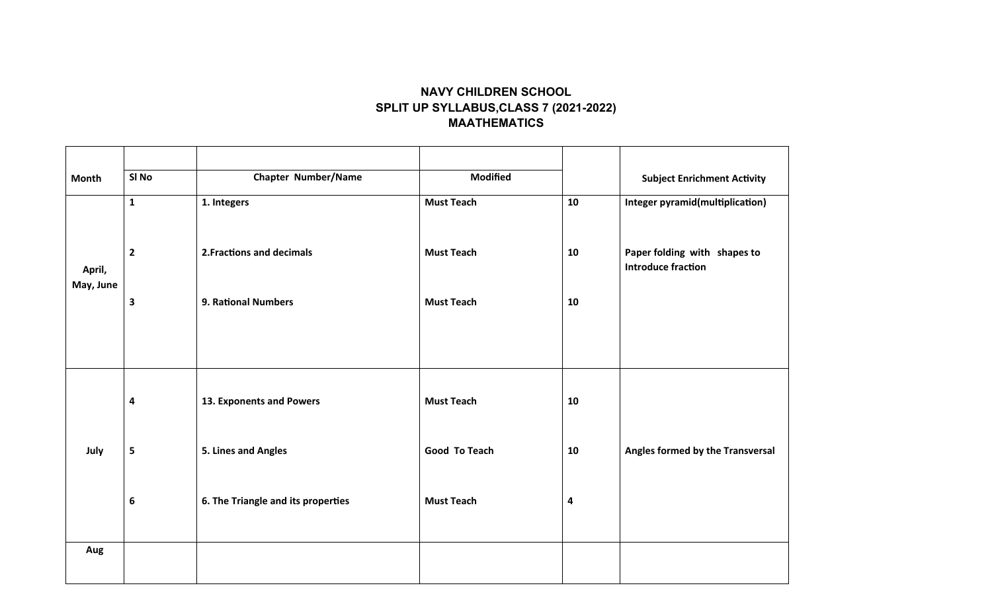## **NAVY CHILDREN SCHOOL SPLIT UP SYLLABUS,CLASS 7 (2021-2022) MAATHEMATICS**

| <b>Month</b>        | SI No        | <b>Chapter Number/Name</b>         | <b>Modified</b>   |           | <b>Subject Enrichment Activity</b>                        |
|---------------------|--------------|------------------------------------|-------------------|-----------|-----------------------------------------------------------|
| April,<br>May, June | $\mathbf{1}$ | 1. Integers                        | <b>Must Teach</b> | 10        | <b>Integer pyramid(multiplication)</b>                    |
|                     | $\mathbf{2}$ | 2. Fractions and decimals          | <b>Must Teach</b> | 10        | Paper folding with shapes to<br><b>Introduce fraction</b> |
|                     | 3            | <b>9. Rational Numbers</b>         | <b>Must Teach</b> | 10        |                                                           |
|                     |              |                                    |                   |           |                                                           |
| July                | 4            | 13. Exponents and Powers           | <b>Must Teach</b> | 10        |                                                           |
|                     | 5            | 5. Lines and Angles                | Good To Teach     | 10        | Angles formed by the Transversal                          |
|                     | 6            | 6. The Triangle and its properties | <b>Must Teach</b> | $\pmb{4}$ |                                                           |
| Aug                 |              |                                    |                   |           |                                                           |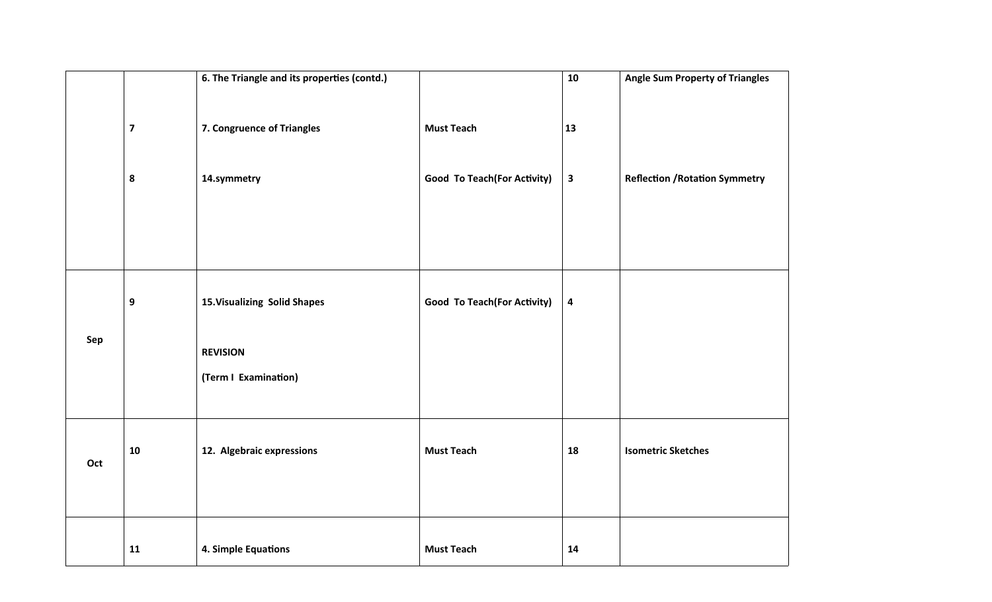|     |                         | 6. The Triangle and its properties (contd.) |                                     | 10                      | <b>Angle Sum Property of Triangles</b> |
|-----|-------------------------|---------------------------------------------|-------------------------------------|-------------------------|----------------------------------------|
|     | $\overline{\mathbf{z}}$ | 7. Congruence of Triangles                  | <b>Must Teach</b>                   | 13                      |                                        |
|     | 8                       | 14.symmetry                                 | <b>Good To Teach (For Activity)</b> | $\overline{\mathbf{3}}$ | <b>Reflection / Rotation Symmetry</b>  |
|     |                         |                                             |                                     |                         |                                        |
|     | 9                       | 15. Visualizing Solid Shapes                | <b>Good To Teach (For Activity)</b> | $\overline{\mathbf{4}}$ |                                        |
| Sep |                         | <b>REVISION</b>                             |                                     |                         |                                        |
|     |                         | (Term I Examination)                        |                                     |                         |                                        |
| Oct | 10                      | 12. Algebraic expressions                   | <b>Must Teach</b>                   | 18                      | <b>Isometric Sketches</b>              |
|     | 11                      | 4. Simple Equations                         | <b>Must Teach</b>                   | 14                      |                                        |